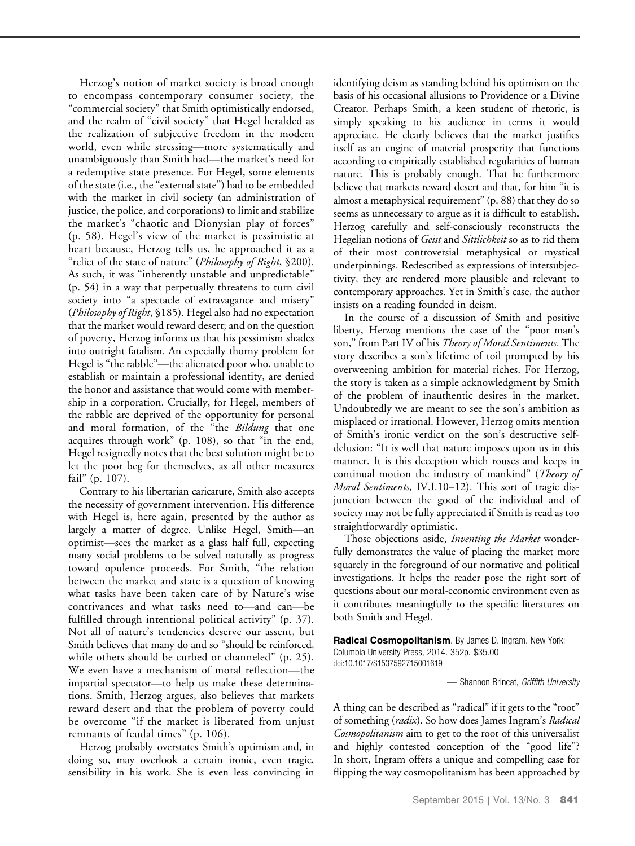Herzog's notion of market society is broad enough to encompass contemporary consumer society, the "commercial society" that Smith optimistically endorsed, and the realm of "civil society" that Hegel heralded as the realization of subjective freedom in the modern world, even while stressing—more systematically and unambiguously than Smith had—the market's need for a redemptive state presence. For Hegel, some elements of the state (i.e., the "external state") had to be embedded with the market in civil society (an administration of justice, the police, and corporations) to limit and stabilize the market's "chaotic and Dionysian play of forces" (p. 58). Hegel's view of the market is pessimistic at heart because, Herzog tells us, he approached it as a "relict of the state of nature" (*Philosophy of Right*, §200). As such, it was "inherently unstable and unpredictable" (p. 54) in a way that perpetually threatens to turn civil society into "a spectacle of extravagance and misery" (Philosophy of Right, §185). Hegel also had no expectation that the market would reward desert; and on the question of poverty, Herzog informs us that his pessimism shades into outright fatalism. An especially thorny problem for Hegel is "the rabble"—the alienated poor who, unable to establish or maintain a professional identity, are denied the honor and assistance that would come with membership in a corporation. Crucially, for Hegel, members of the rabble are deprived of the opportunity for personal and moral formation, of the "the Bildung that one acquires through work" (p. 108), so that "in the end, Hegel resignedly notes that the best solution might be to let the poor beg for themselves, as all other measures fail" (p. 107).

Contrary to his libertarian caricature, Smith also accepts the necessity of government intervention. His difference with Hegel is, here again, presented by the author as largely a matter of degree. Unlike Hegel, Smith—an optimist—sees the market as a glass half full, expecting many social problems to be solved naturally as progress toward opulence proceeds. For Smith, "the relation between the market and state is a question of knowing what tasks have been taken care of by Nature's wise contrivances and what tasks need to—and can—be fulfilled through intentional political activity" (p. 37). Not all of nature's tendencies deserve our assent, but Smith believes that many do and so "should be reinforced, while others should be curbed or channeled" (p. 25). We even have a mechanism of moral reflection—the impartial spectator—to help us make these determinations. Smith, Herzog argues, also believes that markets reward desert and that the problem of poverty could be overcome "if the market is liberated from unjust remnants of feudal times" (p. 106).

Herzog probably overstates Smith's optimism and, in doing so, may overlook a certain ironic, even tragic, sensibility in his work. She is even less convincing in

identifying deism as standing behind his optimism on the basis of his occasional allusions to Providence or a Divine Creator. Perhaps Smith, a keen student of rhetoric, is simply speaking to his audience in terms it would appreciate. He clearly believes that the market justifies itself as an engine of material prosperity that functions according to empirically established regularities of human nature. This is probably enough. That he furthermore believe that markets reward desert and that, for him "it is almost a metaphysical requirement"(p. 88) that they do so seems as unnecessary to argue as it is difficult to establish. Herzog carefully and self-consciously reconstructs the Hegelian notions of *Geist* and *Sittlichkeit* so as to rid them of their most controversial metaphysical or mystical underpinnings. Redescribed as expressions of intersubjectivity, they are rendered more plausible and relevant to contemporary approaches. Yet in Smith's case, the author insists on a reading founded in deism.

In the course of a discussion of Smith and positive liberty, Herzog mentions the case of the "poor man's son," from Part IV of his Theory of Moral Sentiments. The story describes a son's lifetime of toil prompted by his overweening ambition for material riches. For Herzog, the story is taken as a simple acknowledgment by Smith of the problem of inauthentic desires in the market. Undoubtedly we are meant to see the son's ambition as misplaced or irrational. However, Herzog omits mention of Smith's ironic verdict on the son's destructive selfdelusion: "It is well that nature imposes upon us in this manner. It is this deception which rouses and keeps in continual motion the industry of mankind" (Theory of Moral Sentiments, IV.I.10–12). This sort of tragic disjunction between the good of the individual and of society may not be fully appreciated if Smith is read as too straightforwardly optimistic.

Those objections aside, Inventing the Market wonderfully demonstrates the value of placing the market more squarely in the foreground of our normative and political investigations. It helps the reader pose the right sort of questions about our moral-economic environment even as it contributes meaningfully to the specific literatures on both Smith and Hegel.

Radical Cosmopolitanism. By James D. Ingram. New York: Columbia University Press, 2014. 352p. \$35.00 doi:10.1017/S1537592715001619

- Shannon Brincat, Griffith University

A thing can be described as "radical" if it gets to the"root" of something (*radix*). So how does James Ingram's Radical Cosmopolitanism aim to get to the root of this universalist and highly contested conception of the "good life"? In short, Ingram offers a unique and compelling case for flipping the way cosmopolitanism has been approached by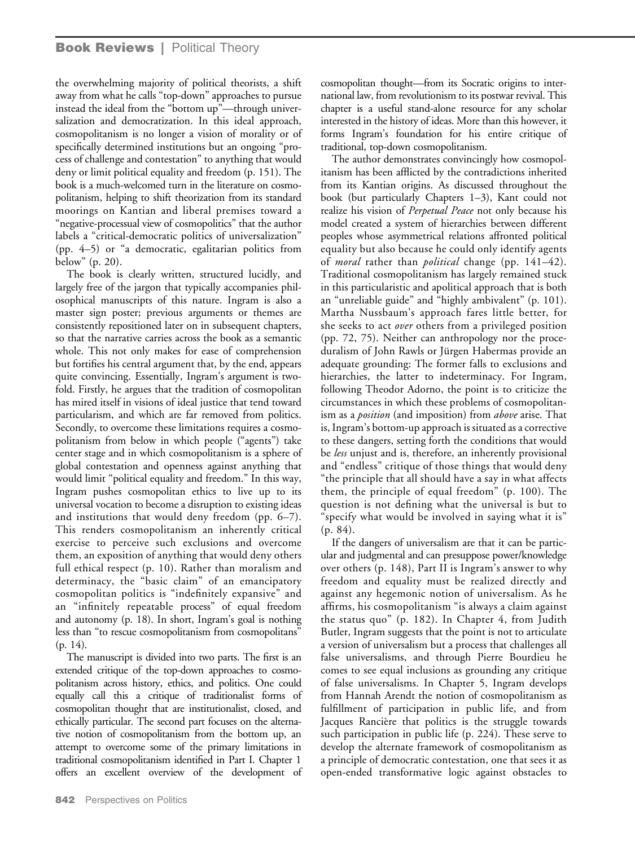## **Book Reviews** | Political Theory

the overwhelming majority of political theorists, a shift away from what he calls "top-down" approaches to pursue instead the ideal from the "bottom up"—through universalization and democratization. In this ideal approach, cosmopolitanism is no longer a vision of morality or of specifically determined institutions but an ongoing "process of challenge and contestation" to anything that would deny or limit political equality and freedom (p. 151). The book is a much-welcomed turn in the literature on cosmopolitanism, helping to shift theorization from its standard moorings on Kantian and liberal premises toward a "negative-processual view of cosmopolitics" that the author labels a "critical-democratic politics of universalization" (pp. 4–5) or "a democratic, egalitarian politics from below" (p. 20).

The book is clearly written, structured lucidly, and largely free of the jargon that typically accompanies philosophical manuscripts of this nature. Ingram is also a master sign poster; previous arguments or themes are consistently repositioned later on in subsequent chapters, so that the narrative carries across the book as a semantic whole. This not only makes for ease of comprehension but fortifies his central argument that, by the end, appears quite convincing. Essentially, Ingram's argument is twofold. Firstly, he argues that the tradition of cosmopolitan has mired itself in visions of ideal justice that tend toward particularism, and which are far removed from politics. Secondly, to overcome these limitations requires a cosmopolitanism from below in which people ("agents") take center stage and in which cosmopolitanism is a sphere of global contestation and openness against anything that would limit "political equality and freedom." In this way, Ingram pushes cosmopolitan ethics to live up to its universal vocation to become a disruption to existing ideas and institutions that would deny freedom (pp. 6–7). This renders cosmopolitanism an inherently critical exercise to perceive such exclusions and overcome them, an exposition of anything that would deny others full ethical respect (p. 10). Rather than moralism and determinacy, the "basic claim" of an emancipatory cosmopolitan politics is "indefinitely expansive" and an "infinitely repeatable process" of equal freedom and autonomy (p. 18). In short, Ingram's goal is nothing less than "to rescue cosmopolitanism from cosmopolitans"  $(p. 14)$ .

The manuscript is divided into two parts. The first is an extended critique of the top-down approaches to cosmopolitanism across history, ethics, and politics. One could equally call this a critique of traditionalist forms of cosmopolitan thought that are institutionalist, closed, and ethically particular. The second part focuses on the alternative notion of cosmopolitanism from the bottom up, an attempt to overcome some of the primary limitations in traditional cosmopolitanism identified in Part I. Chapter 1 offers an excellent overview of the development of cosmopolitan thought—from its Socratic origins to international law, from revolutionism to its postwar revival. This chapter is a useful stand-alone resource for any scholar interested in the history of ideas. More than this however, it forms Ingram's foundation for his entire critique of traditional, top-down cosmopolitanism.

The author demonstrates convincingly how cosmopolitanism has been afflicted by the contradictions inherited from its Kantian origins. As discussed throughout the book (but particularly Chapters 1–3), Kant could not realize his vision of *Perpetual Peace* not only because his model created a system of hierarchies between different peoples whose asymmetrical relations affronted political equality but also because he could only identify agents of *moral* rather than *political* change (pp. 141–42). Traditional cosmopolitanism has largely remained stuck in this particularistic and apolitical approach that is both an "unreliable guide" and "highly ambivalent" (p. 101). Martha Nussbaum's approach fares little better, for she seeks to act over others from a privileged position (pp. 72, 75). Neither can anthropology nor the proceduralism of John Rawls or Jürgen Habermas provide an adequate grounding: The former falls to exclusions and hierarchies, the latter to indeterminacy. For Ingram, following Theodor Adorno, the point is to criticize the circumstances in which these problems of cosmopolitanism as a *position* (and imposition) from *above* arise. That is, Ingram's bottom-up approach is situated as a corrective to these dangers, setting forth the conditions that would be less unjust and is, therefore, an inherently provisional and "endless" critique of those things that would deny "the principle that all should have a say in what affects them, the principle of equal freedom" (p. 100). The question is not defining what the universal is but to "specify what would be involved in saying what it is" (p. 84).

If the dangers of universalism are that it can be particular and judgmental and can presuppose power/knowledge over others (p. 148), Part II is Ingram's answer to why freedom and equality must be realized directly and against any hegemonic notion of universalism. As he affirms, his cosmopolitanism "is always a claim against the status quo" (p. 182). In Chapter 4, from Judith Butler, Ingram suggests that the point is not to articulate a version of universalism but a process that challenges all false universalisms, and through Pierre Bourdieu he comes to see equal inclusions as grounding any critique of false universalisms. In Chapter 5, Ingram develops from Hannah Arendt the notion of cosmopolitanism as fulfillment of participation in public life, and from Jacques Rancière that politics is the struggle towards such participation in public life (p. 224). These serve to develop the alternate framework of cosmopolitanism as a principle of democratic contestation, one that sees it as open-ended transformative logic against obstacles to